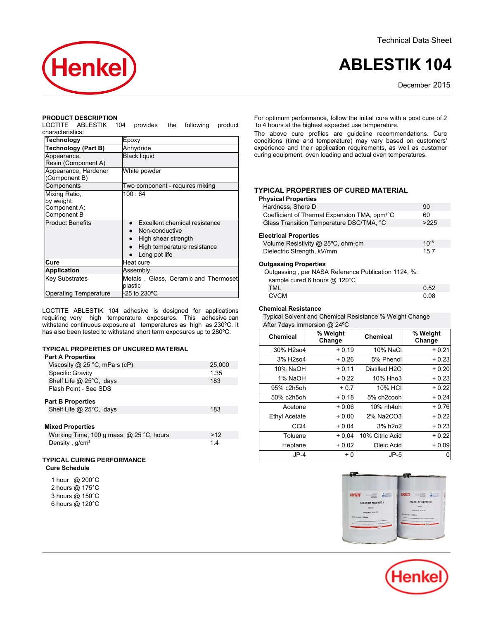Technical Data Sheet



# **ABLESTIK 104**

December 2015

#### **PRODUCT DESCRIPTION**

LOCTITE ABLESTIK 104 provides the following product characteristics:

| Technology                   | Epoxy                                |
|------------------------------|--------------------------------------|
| Technology (Part B)          | Anhydride                            |
| Appearance,                  | <b>Black liquid</b>                  |
| Resin (Component A)          |                                      |
| Appearance, Hardener         | White powder                         |
| (Component B)                |                                      |
| Components                   | Two component - requires mixing      |
| Mixing Ratio,                | 100:64                               |
| by weight                    |                                      |
| Component A:                 |                                      |
| Component B                  |                                      |
| <b>Product Benefits</b>      | Excellent chemical resistance        |
|                              | Non-conductive                       |
|                              | High shear strength                  |
|                              | High temperature resistance          |
|                              | Long pot life                        |
| Cure                         | Heat cure                            |
| <b>Application</b>           | Assembly                             |
| <b>Key Substrates</b>        | Metals, Glass, Ceramic and Thermoset |
|                              | plastic                              |
| <b>Operating Temperature</b> | -25 to 230°C                         |
|                              |                                      |

LOCTITE ABLESTIK 104 adhesive is designed for applications requiring very high temperature exposures. This adhesive can withstand continuous exposure at temperatures as high as 230ºC. It has also been tested to withstand short term exposures up to 280ºC.

## **TYPICAL PROPERTIES OF UNCURED MATERIAL**

#### **Part A Properties**

| Viscosity @ 25 °C, mPa $\cdot$ s (cP) | 25,000 |
|---------------------------------------|--------|
| Specific Gravity                      | 1.35   |
| Shelf Life @ 25°C, days               | 183    |
| Flash Point - See SDS                 |        |
| <b>Part B Properties</b>              |        |
| Shelf Life @ 25°C, days               | 183    |
|                                       |        |
|                                       |        |

## **Mixed Properties**

| .<br>Working Time, 100 g mass $@$ 25 °C, hours | >12 |
|------------------------------------------------|-----|
| Density, $q/cm3$                               | 1.4 |

## **TYPICAL CURING PERFORMANCE Cure Schedule**

|  | 1 hour @ 200°C  |
|--|-----------------|
|  | 2 hours @ 175°C |
|  | 3 hours @ 150°C |
|  | 6 hours @ 120°C |

For optimum performance, follow the initial cure with a post cure of 2 to 4 hours at the highest expected use temperature.

The above cure profiles are guideline recommendations. Cure conditions (time and temperature) may vary based on customers' experience and their application requirements, as well as customer curing equipment, oven loading and actual oven temperatures.

## **TYPICAL PROPERTIES OF CURED MATERIAL**

# **Physical Properties**

| Hardness. Shore D                            | 90   |
|----------------------------------------------|------|
| Coefficient of Thermal Expansion TMA, ppm/°C | 60   |
| Glass Transition Temperature DSC/TMA, °C     | >225 |
|                                              |      |

## **Electrical Properties**

| Volume Resistivity @ 25°C, ohm-cm | $10^{15}$ |
|-----------------------------------|-----------|
| Dielectric Strength, kV/mm        | 15.7      |

## **Outgassing Properties**

| Outgassing, per NASA Reference Publication 1124, %: |      |
|-----------------------------------------------------|------|
| sample cured 6 hours @ 120°C                        |      |
| TML.                                                | 0.52 |
| <b>CVCM</b>                                         | 0 Q8 |

## **Chemical Resistance**

| Typical Solvent and Chemical Resistance % Weight Change |
|---------------------------------------------------------|
| After 7 days Immersion $@$ 24 °C                        |

|                 | $1.001 + 0.0170 + 0.01010 + 0.0011$ |                            |                    |  |  |
|-----------------|-------------------------------------|----------------------------|--------------------|--|--|
| <b>Chemical</b> | % Weight<br>Change                  | <b>Chemical</b>            | % Weight<br>Change |  |  |
| 30% H2so4       | $+0.19$                             | 10% NaCl                   | $+0.21$            |  |  |
| 3% H2so4        | $+0.26$                             | 5% Phenol                  | $+0.23$            |  |  |
| 10% NaOH        | $+0.11$                             | Distilled H <sub>2</sub> O | $+0.20$            |  |  |
| 1% NaOH         | $+0.22$                             | 10% Hno3                   | $+0.23$            |  |  |
| 95% c2h5ohl     | $+0.7$                              | <b>10% HCI</b>             | $+0.22$            |  |  |
| 50% c2h5ohl     | $+0.18$                             | 5% ch2cooh                 | $+0.24$            |  |  |
| Acetone         | $+0.06$                             | 10% nh4oh                  | $+0.76$            |  |  |
| Ethyl Acetate   | $+0.00$                             | 2% Na2CO3                  | $+0.22$            |  |  |
| CCI4            | $+0.04$                             | 3% h2o2                    | $+0.23$            |  |  |
| Toluene         | $+0.04$                             | 10% Citric Acid            | $+0.22$            |  |  |
| Heptane         | $+0.02$                             | Oleic Acid                 | $+0.09$            |  |  |
| $JP-4$          | $+0$                                | $JP-5$                     |                    |  |  |